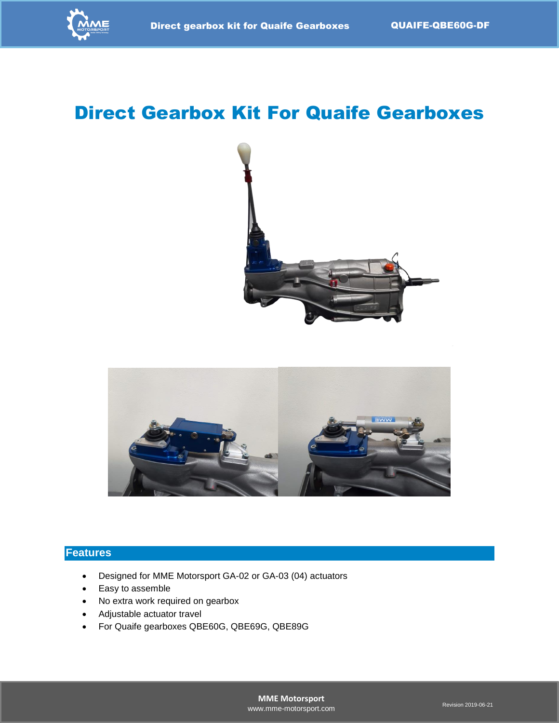

# Direct Gearbox Kit For Quaife Gearboxes





#### **Features**

- Designed for MME Motorsport GA-02 or GA-03 (04) actuators
- Easy to assemble
- No extra work required on gearbox
- Adjustable actuator travel
- For Quaife gearboxes QBE60G, QBE69G, QBE89G

**MME Motorsport** [www.mme-motorsport.com](http://www.mme-motorsport.com/) Revision 2019-06-21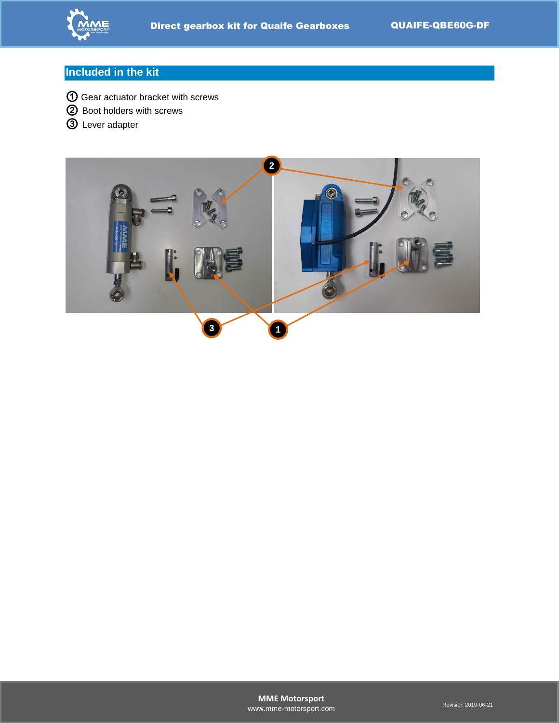

## **Included in the kit**

- ① Gear actuator bracket with screws
- ② Boot holders with screws
- ③ Lever adapter

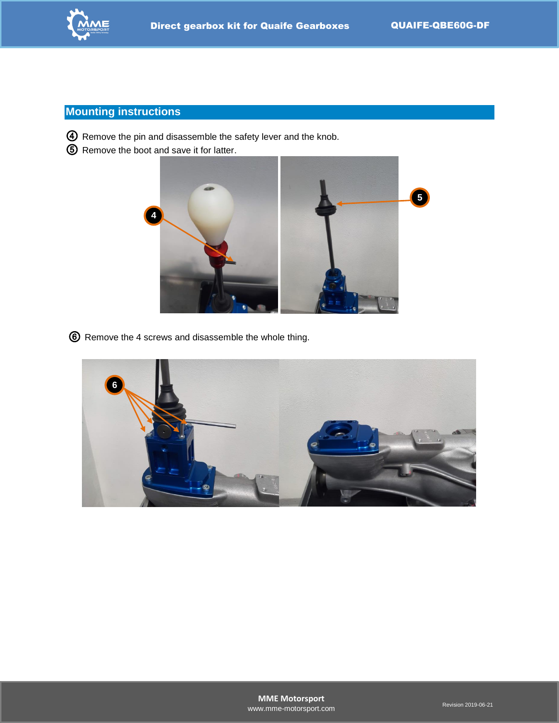

## **Mounting instructions**

- ④ Remove the pin and disassemble the safety lever and the knob.
- ⑤ Remove the boot and save it for latter.



⑥ Remove the 4 screws and disassemble the whole thing.

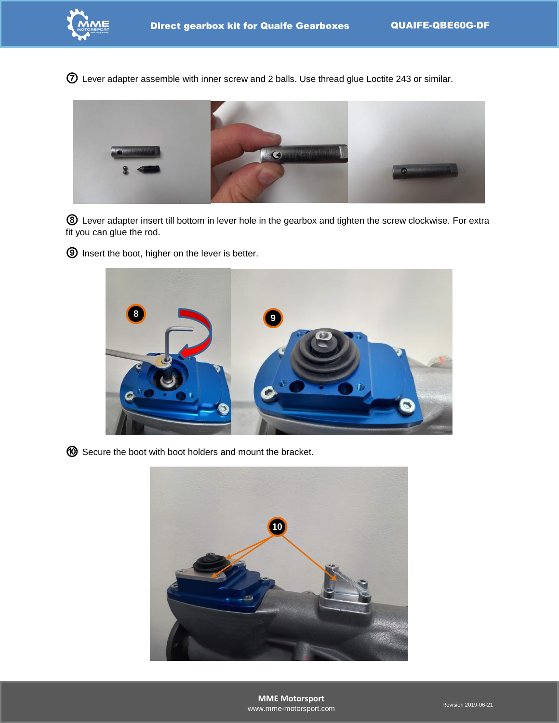Lever adapter assemble with inner screw and 2 balls. Use thread glue Loctite 243 or similar.



 Lever adapter insert till bottom in lever hole in the gearbox and tighten the screw clockwise. For extra fit you can glue the rod.

Insert the boot, higher on the lever is better.



Secure the boot with boot holders and mount the bracket.

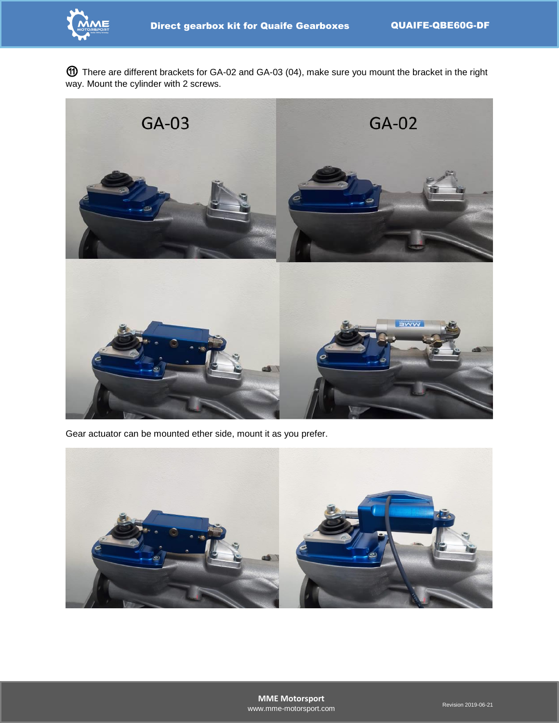

⑪ There are different brackets for GA-02 and GA-03 (04), make sure you mount the bracket in the right way. Mount the cylinder with 2 screws.



Gear actuator can be mounted ether side, mount it as you prefer.

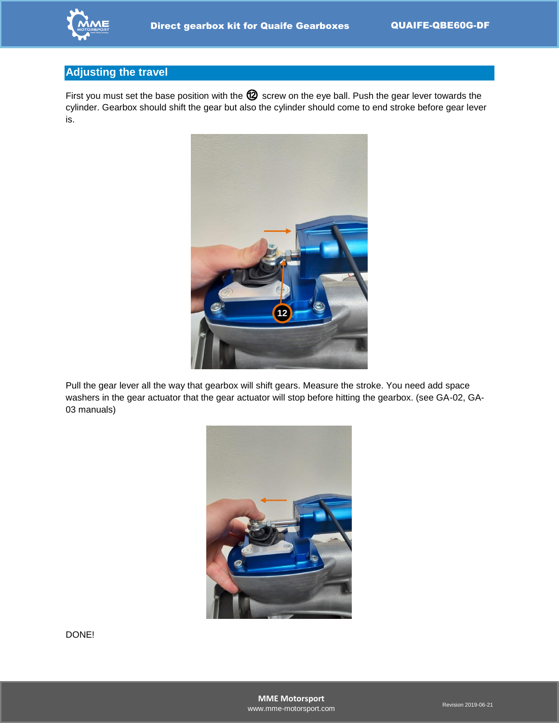

#### **Adjusting the travel**

First you must set the base position with the  $@$  screw on the eye ball. Push the gear lever towards the cylinder. Gearbox should shift the gear but also the cylinder should come to end stroke before gear lever is.



Pull the gear lever all the way that gearbox will shift gears. Measure the stroke. You need add space washers in the gear actuator that the gear actuator will stop before hitting the gearbox. (see GA-02, GA-03 manuals)

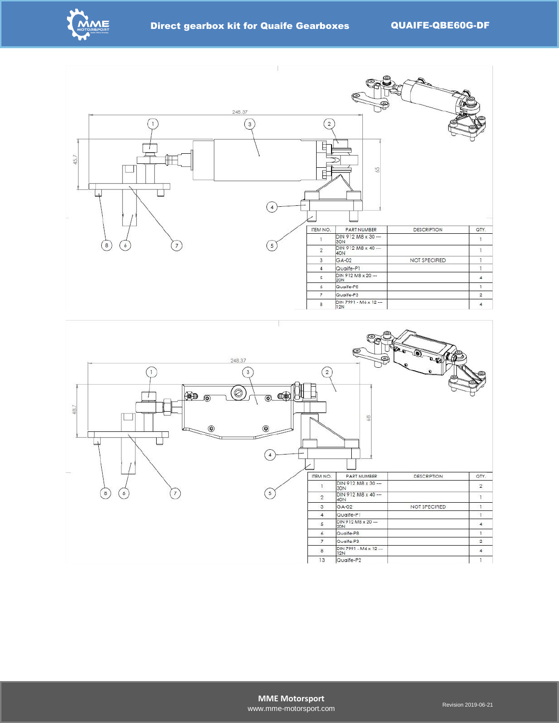